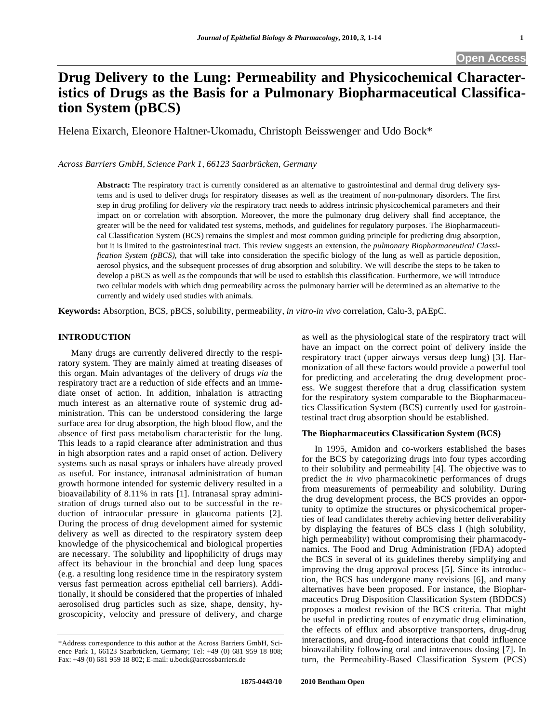# **Drug Delivery to the Lung: Permeability and Physicochemical Characteristics of Drugs as the Basis for a Pulmonary Biopharmaceutical Classification System (pBCS)**

Helena Eixarch, Eleonore Haltner-Ukomadu, Christoph Beisswenger and Udo Bock\*

*Across Barriers GmbH, Science Park 1, 66123 Saarbrücken, Germany* 

**Abstract:** The respiratory tract is currently considered as an alternative to gastrointestinal and dermal drug delivery systems and is used to deliver drugs for respiratory diseases as well as the treatment of non-pulmonary disorders. The first step in drug profiling for delivery *via* the respiratory tract needs to address intrinsic physicochemical parameters and their impact on or correlation with absorption. Moreover, the more the pulmonary drug delivery shall find acceptance, the greater will be the need for validated test systems, methods, and guidelines for regulatory purposes. The Biopharmaceutical Classification System (BCS) remains the simplest and most common guiding principle for predicting drug absorption, but it is limited to the gastrointestinal tract. This review suggests an extension, the *pulmonary Biopharmaceutical Classification System (pBCS)*, that will take into consideration the specific biology of the lung as well as particle deposition, aerosol physics, and the subsequent processes of drug absorption and solubility. We will describe the steps to be taken to develop a pBCS as well as the compounds that will be used to establish this classification. Furthermore, we will introduce two cellular models with which drug permeability across the pulmonary barrier will be determined as an alternative to the currently and widely used studies with animals.

**Keywords:** Absorption, BCS, pBCS, solubility, permeability, *in vitro-in vivo* correlation, Calu-3, pAEpC.

# **INTRODUCTION**

 Many drugs are currently delivered directly to the respiratory system. They are mainly aimed at treating diseases of this organ. Main advantages of the delivery of drugs *via* the respiratory tract are a reduction of side effects and an immediate onset of action. In addition, inhalation is attracting much interest as an alternative route of systemic drug administration. This can be understood considering the large surface area for drug absorption, the high blood flow, and the absence of first pass metabolism characteristic for the lung. This leads to a rapid clearance after administration and thus in high absorption rates and a rapid onset of action. Delivery systems such as nasal sprays or inhalers have already proved as useful. For instance, intranasal administration of human growth hormone intended for systemic delivery resulted in a bioavailability of 8.11% in rats [1]. Intranasal spray administration of drugs turned also out to be successful in the reduction of intraocular pressure in glaucoma patients [2]. During the process of drug development aimed for systemic delivery as well as directed to the respiratory system deep knowledge of the physicochemical and biological properties are necessary. The solubility and lipophilicity of drugs may affect its behaviour in the bronchial and deep lung spaces (e.g. a resulting long residence time in the respiratory system versus fast permeation across epithelial cell barriers). Additionally, it should be considered that the properties of inhaled aerosolised drug particles such as size, shape, density, hygroscopicity, velocity and pressure of delivery, and charge

as well as the physiological state of the respiratory tract will have an impact on the correct point of delivery inside the respiratory tract (upper airways versus deep lung) [3]. Harmonization of all these factors would provide a powerful tool for predicting and accelerating the drug development process. We suggest therefore that a drug classification system for the respiratory system comparable to the Biopharmaceutics Classification System (BCS) currently used for gastrointestinal tract drug absorption should be established.

# **The Biopharmaceutics Classification System (BCS)**

 In 1995, Amidon and co-workers established the bases for the BCS by categorizing drugs into four types according to their solubility and permeability [4]. The objective was to predict the *in vivo* pharmacokinetic performances of drugs from measurements of permeability and solubility. During the drug development process, the BCS provides an opportunity to optimize the structures or physicochemical properties of lead candidates thereby achieving better deliverability by displaying the features of BCS class I (high solubility, high permeability) without compromising their pharmacodynamics. The Food and Drug Administration (FDA) adopted the BCS in several of its guidelines thereby simplifying and improving the drug approval process [5]. Since its introduction, the BCS has undergone many revisions [6], and many alternatives have been proposed. For instance, the Biopharmaceutics Drug Disposition Classification System (BDDCS) proposes a modest revision of the BCS criteria. That might be useful in predicting routes of enzymatic drug elimination, the effects of efflux and absorptive transporters, drug-drug interactions, and drug-food interactions that could influence bioavailability following oral and intravenous dosing [7]. In turn, the Permeability-Based Classification System (PCS)

<sup>\*</sup>Address correspondence to this author at the Across Barriers GmbH, Science Park 1, 66123 Saarbrücken, Germany; Tel: +49 (0) 681 959 18 808; Fax: +49 (0) 681 959 18 802; E-mail: u.bock@acrossbarriers.de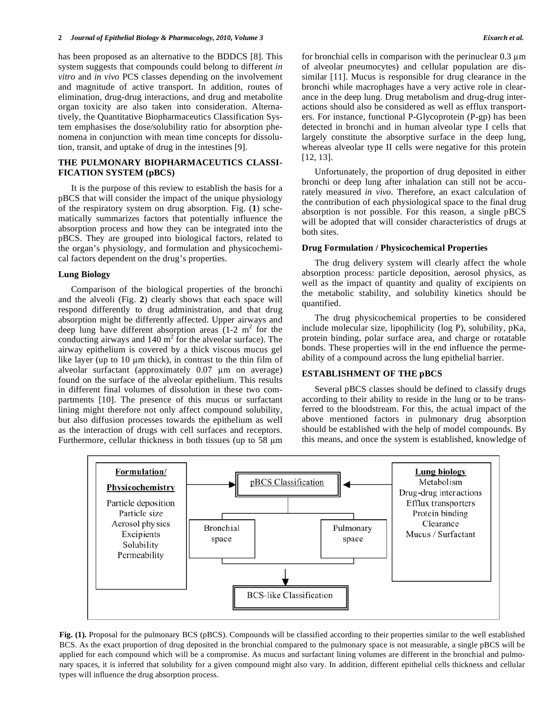has been proposed as an alternative to the BDDCS [8]. This system suggests that compounds could belong to different *in vitro* and *in vivo* PCS classes depending on the involvement and magnitude of active transport. In addition, routes of elimination, drug-drug interactions, and drug and metabolite organ toxicity are also taken into consideration. Alternatively, the Quantitative Biopharmaceutics Classification System emphasises the dose/solubility ratio for absorption phenomena in conjunction with mean time concepts for dissolution, transit, and uptake of drug in the intestines [9].

# **THE PULMONARY BIOPHARMACEUTICS CLASSI-FICATION SYSTEM (pBCS)**

 It is the purpose of this review to establish the basis for a pBCS that will consider the impact of the unique physiology of the respiratory system on drug absorption. Fig. (**1**) schematically summarizes factors that potentially influence the absorption process and how they can be integrated into the pBCS. They are grouped into biological factors, related to the organ's physiology, and formulation and physicochemical factors dependent on the drug's properties.

#### **Lung Biology**

 Comparison of the biological properties of the bronchi and the alveoli (Fig. **2**) clearly shows that each space will respond differently to drug administration, and that drug absorption might be differently affected. Upper airways and deep lung have different absorption areas  $(1-2 \text{ m}^2 \text{ for the})$ conducting airways and  $140 \text{ m}^2$  for the alveolar surface). The airway epithelium is covered by a thick viscous mucus gel like layer (up to  $10 \mu m$  thick), in contrast to the thin film of alveolar surfactant (approximately  $0.07 \mu m$  on average) found on the surface of the alveolar epithelium. This results in different final volumes of dissolution in these two compartments [10]. The presence of this mucus or surfactant lining might therefore not only affect compound solubility, but also diffusion processes towards the epithelium as well as the interaction of drugs with cell surfaces and receptors. Furthermore, cellular thickness in both tissues (up to 58  $\mu$ m)

for bronchial cells in comparison with the perinuclear  $0.3 \mu m$ of alveolar pneumocytes) and cellular population are dissimilar [11]. Mucus is responsible for drug clearance in the bronchi while macrophages have a very active role in clearance in the deep lung. Drug metabolism and drug-drug interactions should also be considered as well as efflux transporters. For instance, functional P-Glycoprotein (P-gp) has been detected in bronchi and in human alveolar type I cells that largely constitute the absorptive surface in the deep lung, whereas alveolar type II cells were negative for this protein [12, 13].

 Unfortunately, the proportion of drug deposited in either bronchi or deep lung after inhalation can still not be accurately measured *in vivo*. Therefore, an exact calculation of the contribution of each physiological space to the final drug absorption is not possible. For this reason, a single pBCS will be adopted that will consider characteristics of drugs at both sites.

# **Drug Formulation / Physicochemical Properties**

 The drug delivery system will clearly affect the whole absorption process: particle deposition, aerosol physics, as well as the impact of quantity and quality of excipients on the metabolic stability, and solubility kinetics should be quantified.

 The drug physicochemical properties to be considered include molecular size, lipophilicity (log P), solubility, pKa, protein binding, polar surface area, and charge or rotatable bonds. These properties will in the end influence the permeability of a compound across the lung epithelial barrier.

# **ESTABLISHMENT OF THE pBCS**

 Several pBCS classes should be defined to classify drugs according to their ability to reside in the lung or to be transferred to the bloodstream. For this, the actual impact of the above mentioned factors in pulmonary drug absorption should be established with the help of model compounds. By this means, and once the system is established, knowledge of



**Fig. (1).** Proposal for the pulmonary BCS (pBCS). Compounds will be classified according to their properties similar to the well established BCS. As the exact proportion of drug deposited in the bronchial compared to the pulmonary space is not measurable, a single pBCS will be applied for each compound which will be a compromise. As mucus and surfactant lining volumes are different in the bronchial and pulmonary spaces, it is inferred that solubility for a given compound might also vary. In addition, different epithelial cells thickness and cellular types will influence the drug absorption process.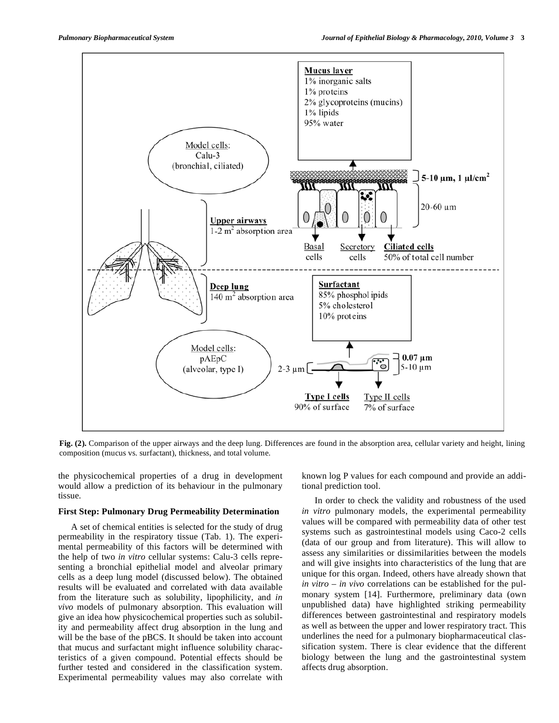

**Fig. (2).** Comparison of the upper airways and the deep lung. Differences are found in the absorption area, cellular variety and height, lining composition (mucus vs. surfactant), thickness, and total volume.

the physicochemical properties of a drug in development would allow a prediction of its behaviour in the pulmonary tissue.

# **First Step: Pulmonary Drug Permeability Determination**

 A set of chemical entities is selected for the study of drug permeability in the respiratory tissue (Tab. 1). The experimental permeability of this factors will be determined with the help of two *in vitro* cellular systems: Calu-3 cells representing a bronchial epithelial model and alveolar primary cells as a deep lung model (discussed below). The obtained results will be evaluated and correlated with data available from the literature such as solubility, lipophilicity, and *in vivo* models of pulmonary absorption. This evaluation will give an idea how physicochemical properties such as solubility and permeability affect drug absorption in the lung and will be the base of the pBCS. It should be taken into account that mucus and surfactant might influence solubility characteristics of a given compound. Potential effects should be further tested and considered in the classification system. Experimental permeability values may also correlate with known log P values for each compound and provide an additional prediction tool.

 In order to check the validity and robustness of the used *in vitro* pulmonary models, the experimental permeability values will be compared with permeability data of other test systems such as gastrointestinal models using Caco-2 cells (data of our group and from literature). This will allow to assess any similarities or dissimilarities between the models and will give insights into characteristics of the lung that are unique for this organ. Indeed, others have already shown that *in vitro – in vivo* correlations can be established for the pulmonary system [14]. Furthermore, preliminary data (own unpublished data) have highlighted striking permeability differences between gastrointestinal and respiratory models as well as between the upper and lower respiratory tract. This underlines the need for a pulmonary biopharmaceutical classification system. There is clear evidence that the different biology between the lung and the gastrointestinal system affects drug absorption.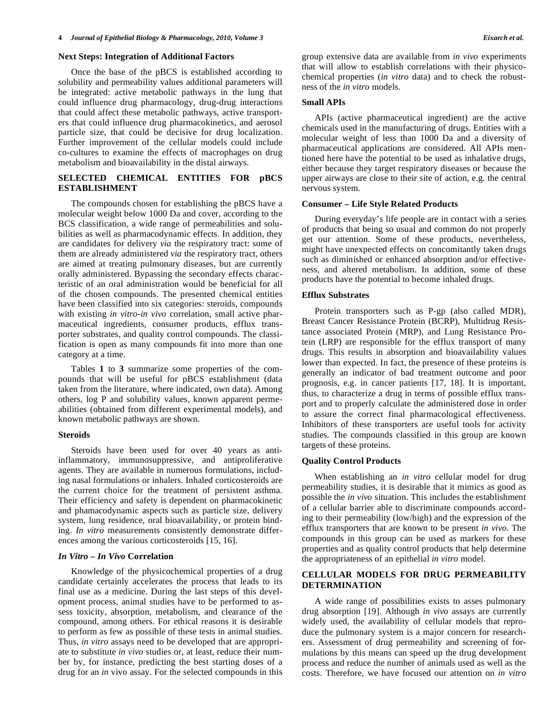## **Next Steps: Integration of Additional Factors**

 Once the base of the pBCS is established according to solubility and permeability values additional parameters will be integrated: active metabolic pathways in the lung that could influence drug pharmacology, drug-drug interactions that could affect these metabolic pathways, active transporters that could influence drug pharmacokinetics, and aerosol particle size, that could be decisive for drug localization. Further improvement of the cellular models could include co-cultures to examine the effects of macrophages on drug metabolism and bioavailability in the distal airways.

# **SELECTED CHEMICAL ENTITIES FOR pBCS ESTABLISHMENT**

 The compounds chosen for establishing the pBCS have a molecular weight below 1000 Da and cover, according to the BCS classification, a wide range of permeabilities and solubilities as well as pharmacodynamic effects. In addition, they are candidates for delivery *via* the respiratory tract: some of them are already administered *via* the respiratory tract, others are aimed at treating pulmonary diseases, but are currently orally administered. Bypassing the secondary effects characteristic of an oral administration would be beneficial for all of the chosen compounds. The presented chemical entities have been classified into six categories: steroids, compounds with existing *in vitro*-*in vivo* correlation, small active pharmaceutical ingredients, consumer products, efflux transporter substrates, and quality control compounds. The classification is open as many compounds fit into more than one category at a time.

 Tables **1** to **3** summarize some properties of the compounds that will be useful for pBCS establishment (data taken from the literature, where indicated, own data). Among others, log P and solubility values, known apparent permeabilities (obtained from different experimental models), and known metabolic pathways are shown.

#### **Steroids**

 Steroids have been used for over 40 years as antiinflammatory, immunosuppressive, and antiproliferative agents. They are available in numerous formulations, including nasal formulations or inhalers. Inhaled corticosteroids are the current choice for the treatment of persistent asthma. Their efficiency and safety is dependent on pharmacokinetic and phamacodynamic aspects such as particle size, delivery system, lung residence, oral bioavailability, or protein binding. *In vitro* measurements consistently demonstrate differences among the various corticosteroids [15, 16].

# *In Vitro – In Vivo* **Correlation**

 Knowledge of the physicochemical properties of a drug candidate certainly accelerates the process that leads to its final use as a medicine. During the last steps of this development process, animal studies have to be performed to assess toxicity, absorption, metabolism, and clearance of the compound, among others. For ethical reasons it is desirable to perform as few as possible of these tests in animal studies. Thus, *in vitro* assays need to be developed that are appropriate to substitute *in vivo* studies or, at least, reduce their number by, for instance, predicting the best starting doses of a drug for an *in* vivo assay. For the selected compounds in this group extensive data are available from *in vivo* experiments that will allow to establish correlations with their physicochemical properties (*in vitro* data) and to check the robustness of the *in vitro* models.

#### **Small APIs**

 APIs (active pharmaceutical ingredient) are the active chemicals used in the manufacturing of drugs. Entities with a molecular weight of less than 1000 Da and a diversity of pharmaceutical applications are considered. All APIs mentioned here have the potential to be used as inhalative drugs, either because they target respiratory diseases or because the upper airways are close to their site of action, e.g. the central nervous system.

#### **Consumer – Life Style Related Products**

 During everyday's life people are in contact with a series of products that being so usual and common do not properly get our attention. Some of these products, nevertheless, might have unexpected effects on concomitantly taken drugs such as diminished or enhanced absorption and/or effectiveness, and altered metabolism. In addition, some of these products have the potential to become inhaled drugs.

#### **Efflux Substrates**

 Protein transporters such as P-gp (also called MDR), Breast Cancer Resistance Protein (BCRP), Multidrug Resistance associated Protein (MRP), and Lung Resistance Protein (LRP) are responsible for the efflux transport of many drugs. This results in absorption and bioavailability values lower than expected. In fact, the presence of these proteins is generally an indicator of bad treatment outcome and poor prognosis, e.g. in cancer patients [17, 18]. It is important, thus, to characterize a drug in terms of possible efflux transport and to properly calculate the administered dose in order to assure the correct final pharmacological effectiveness. Inhibitors of these transporters are useful tools for activity studies. The compounds classified in this group are known targets of these proteins.

### **Quality Control Products**

 When establishing an *in vitro* cellular model for drug permeability studies, it is desirable that it mimics as good as possible the *in vivo* situation. This includes the establishment of a cellular barrier able to discriminate compounds according to their permeability (low/high) and the expression of the efflux transporters that are known to be present *in vivo*. The compounds in this group can be used as markers for these properties and as quality control products that help determine the appropriateness of an epithelial *in vitro* model.

# **CELLULAR MODELS FOR DRUG PERMEABILITY DETERMINATION**

 A wide range of possibilities exists to asses pulmonary drug absorption [19]. Although *in vivo* assays are currently widely used, the availability of cellular models that reproduce the pulmonary system is a major concern for researchers. Assessment of drug permeability and screening of formulations by this means can speed up the drug development process and reduce the number of animals used as well as the costs. Therefore, we have focused our attention on *in vitro*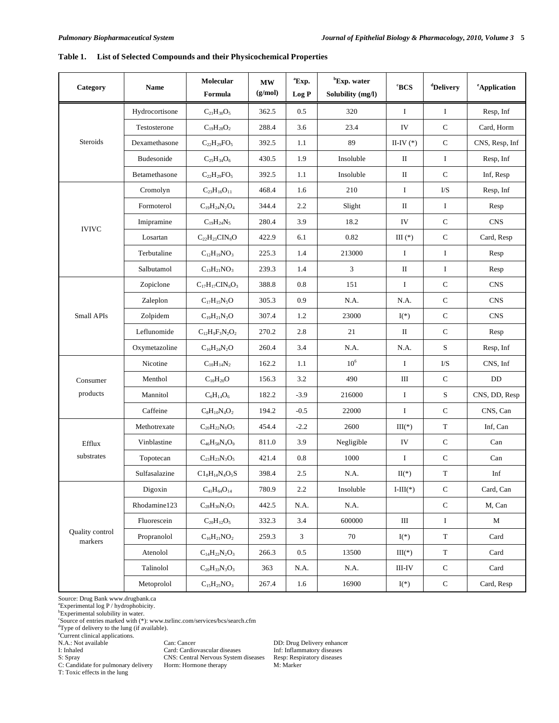# **Table 1. List of Selected Compounds and their Physicochemical Properties**

| Category                   | <b>Name</b>    | Molecular<br>Formula      | <b>MW</b><br>(g/mol) | <sup>a</sup> Exp.<br>Log P | <sup>b</sup> Exp. water<br>Solubility (mg/l) | <b>BCS</b>                       | dDelivery            | <sup>e</sup> Application |
|----------------------------|----------------|---------------------------|----------------------|----------------------------|----------------------------------------------|----------------------------------|----------------------|--------------------------|
|                            | Hydrocortisone | $C_{21}H_{30}O_5$         | 362.5                | $0.5\,$                    | 320                                          | $\rm I$                          | $\bf I$              | Resp, Inf                |
|                            | Testosterone   | $C_{19}H_{28}O_2$         | 288.4                | 3.6                        | 23.4                                         | IV                               | $\mathbf C$          | Card, Horm               |
| Steroids                   | Dexamethasone  | $C_{22}H_{29}FO_5$        | 392.5                | 1.1                        | 89                                           | II-IV $(*)$                      | ${\bf C}$            | CNS, Resp, Inf           |
|                            | Budesonide     | $C_{25}H_{34}O_6$         | 430.5                | 1.9                        | Insoluble                                    | П                                | $\bf{I}$             | Resp, Inf                |
|                            | Betamethasone  | $C_{22}H_{29}FO_5$        | 392.5                | 1.1                        | Insoluble                                    | $\mathbf{I}$                     | ${\bf C}$            | Inf, Resp                |
|                            | Cromolyn       | $C_{23}H_{16}O_{11}$      | 468.4                | 1.6                        | 210                                          | $\bf{I}$                         | I/S                  | Resp, Inf                |
|                            | Formoterol     | $C_{19}H_{24}N_2O_4$      | 344.4                | 2.2                        | Slight                                       | $\mathbf{I}$                     | $\bf{I}$             | Resp                     |
|                            | Imipramine     | $C_{19}H_{24}N_5$         | 280.4                | 3.9                        | 18.2                                         | ${\rm IV}$                       | $\mathbf C$          | <b>CNS</b>               |
| <b>IVIVC</b>               | Losartan       | $C_{22}H_{23}CIN_6O$      | 422.9                | 6.1                        | 0.82                                         | $III(*)$                         | ${\bf C}$            | Card, Resp               |
|                            | Terbutaline    | $C_{12}H_{19}NO_3$        | 225.3                | 1.4                        | 213000                                       | Ι                                | $\mathbf{I}$         | Resp                     |
|                            | Salbutamol     | $C_{13}H_{21}NO_3$        | 239.3                | 1.4                        | 3                                            | $\;$ II                          | $\bf{I}$             | Resp                     |
|                            | Zopiclone      | $C_{17}H_{17}CIN_6O_3$    | 388.8                | 0.8                        | 151                                          | $\bf{I}$                         | ${\bf C}$            | <b>CNS</b>               |
|                            | Zaleplon       | $C_{17}H_{15}N_5O$        | 305.3                | 0.9                        | N.A.                                         | N.A.                             | $\mathbf C$          | <b>CNS</b>               |
| <b>Small APIs</b>          | Zolpidem       | $C_{19}H_{21}N_3O$        | 307.4                | 1.2                        | 23000                                        | $I(*)$                           | ${\bf C}$            | <b>CNS</b>               |
|                            | Leflunomide    | $C_{12}H_9F_3N_2O_2$      | 270.2                | 2.8                        | 21                                           | $\mathbf{I}$                     | ${\bf C}$            | Resp                     |
|                            | Oxymetazoline  | $C_{16}H_{24}N_2O$        | 260.4                | 3.4                        | N.A.                                         | N.A.                             | S                    | Resp, Inf                |
|                            | Nicotine       | $\rm C_{10}H_{14}N_2$     | 162.2                | 1.1                        | 10 <sup>6</sup>                              | $\rm I$                          | ${\rm I}\!/ {\rm S}$ | CNS, Inf                 |
| Consumer                   | Menthol        | $C_{10}H_{20}O$           | 156.3                | 3.2                        | 490                                          | Ш                                | ${\bf C}$            | DD                       |
| products                   | Mannitol       | $C_6H_{14}O_6$            | 182.2                | $-3.9$                     | 216000                                       | $\bf{I}$                         | ${\bf S}$            | CNS, DD, Resp            |
|                            | Caffeine       | $C_8H_{10}N_4O_2$         | 194.2                | $-0.5$                     | 22000                                        | $\bf I$                          | ${\bf C}$            | CNS, Can                 |
|                            | Methotrexate   | $C_{20}H_{22}N_8O_5$      | 454.4                | $-2.2$                     | 2600                                         | $III(*)$                         | $\mathbf T$          | Inf, Can                 |
| Efflux                     | Vinblastine    | $C_{46}H_{58}N_4O_9$      | 811.0                | 3.9                        | Negligible                                   | IV                               | ${\bf C}$            | Can                      |
| substrates                 | Topotecan      | $C_{23}H_{23}N_3O_5$      | 421.4                | $0.8\,$                    | 1000                                         | $\bf{I}$                         | ${\bf C}$            | Can                      |
|                            | Sulfasalazine  | $C1_8H_{14}N_4O_5S$       | 398.4                | 2.5                        | N.A.                                         | $\mathop{\rm II}\nolimits({}^*)$ | $\mathbf T$          | Inf                      |
|                            | Digoxin        | $\rm{C_{41}H_{64}O_{14}}$ | 780.9                | $2.2\,$                    | Insoluble                                    | $I-III(*)$                       | ${\bf C}$            | Card, Can                |
|                            | Rhodamine123   | $C_{28}H_{30}N_2O_3$      | 442.5                | N.A.                       | N.A.                                         |                                  | ${\bf C}$            | M, Can                   |
|                            | Fluorescein    | $\rm{C_{20}H_{12}O_5}$    | 332.3                | 3.4                        | 600000                                       | Ш                                | $\mathbf{I}$         | М                        |
| Quality control<br>markers | Propranolol    | $\rm C_{16}H_{21}NO_2$    | 259.3                | 3                          | 70                                           | $I(*)$                           | $\mathbf T$          | Card                     |
|                            | Atenolol       | $C_{14}H_{22}N_2O_3$      | 266.3                | 0.5                        | 13500                                        | $III(*)$                         | $\mathbf T$          | Card                     |
|                            | Talinolol      | $C_{20}H_{33}N_3O_3$      | 363                  | N.A.                       | N.A.                                         | III-IV                           | $\mathbf C$          | Card                     |
|                            | Metoprolol     | $C_{15}H_{25}NO_3$        | 267.4                | 1.6                        | 16900                                        | $\mathbf{I}({}^*)$               | ${\bf C}$            | Card, Resp               |

Source: Drug Bank www.drugbank.ca a Experimental log P / hydrophobicity. b Experimental solubility in water.

c Source of entries marked with (\*): www.tsrlinc.com/services/bcs/search.cfm

<sup>d</sup>Type of delivery to the lung (if available).

e Current clinical applications.

S: Spray<br>C: Candidate for pulmonary delivery T: Toxic effects in the lung

Simus Central Nervous System diseases Resp: Respirator Horm: Hormone therapy M: Marker

N.A.: Not available Can: Cancer DD: Drug Delivery enhancer I: Inhaled Card: Cardiovascular diseases Inf: Inflammatory diseases<br>S: Spray CNS: Central Nervous System diseases Resp: Respiratory diseases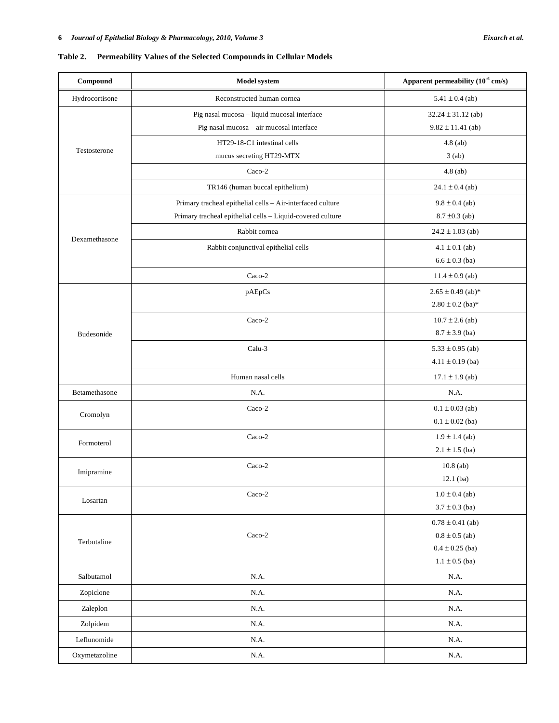| Hydrocortisone<br>Reconstructed human cornea<br>$5.41 \pm 0.4$ (ab)<br>Pig nasal mucosa - liquid mucosal interface<br>$32.24 \pm 31.12$ (ab)<br>Pig nasal mucosa - air mucosal interface<br>$9.82 \pm 11.41$ (ab)<br>HT29-18-C1 intestinal cells<br>$4.8$ (ab)<br>Testosterone<br>3(ab)<br>mucus secreting HT29-MTX<br>Caco-2<br>$4.8$ (ab)<br>TR146 (human buccal epithelium)<br>$24.1 \pm 0.4$ (ab)<br>Primary tracheal epithelial cells - Air-interfaced culture<br>$9.8 \pm 0.4$ (ab)<br>Primary tracheal epithelial cells - Liquid-covered culture<br>$8.7 \pm 0.3$ (ab)<br>Rabbit cornea<br>$24.2 \pm 1.03$ (ab)<br>Dexamethasone<br>Rabbit conjunctival epithelial cells<br>$4.1 \pm 0.1$ (ab)<br>$6.6 \pm 0.3$ (ba)<br>$Caco-2$<br>$11.4 \pm 0.9$ (ab)<br>pAEpCs<br>$2.65 \pm 0.49$ (ab)*<br>$2.80 \pm 0.2$ (ba)*<br>Caco-2<br>$10.7 \pm 2.6$ (ab)<br>$8.7 \pm 3.9$ (ba)<br><b>Budesonide</b><br>Calu-3<br>$5.33 \pm 0.95$ (ab)<br>$4.11 \pm 0.19$ (ba)<br>Human nasal cells<br>$17.1 \pm 1.9$ (ab)<br>Betamethasone<br>N.A.<br>N.A.<br>Caco-2<br>$0.1 \pm 0.03$ (ab)<br>Cromolyn<br>$0.1 \pm 0.02$ (ba)<br>Caco-2<br>$1.9 \pm 1.4$ (ab)<br>Formoterol<br>$2.1 \pm 1.5$ (ba)<br>$Caco-2$<br>$10.8$ (ab)<br>Imipramine<br>$12.1$ (ba)<br>$Caco-2$<br>$1.0 \pm 0.4$ (ab)<br>Losartan<br>$3.7 \pm 0.3$ (ba)<br>$0.78 \pm 0.41$ (ab)<br>$Caco-2$<br>$0.8 \pm 0.5$ (ab)<br>Terbutaline<br>$0.4 \pm 0.25$ (ba)<br>$1.1 \pm 0.5$ (ba)<br>Salbutamol<br>N.A.<br>N.A.<br>N.A.<br>Zopiclone<br>N.A.<br>N.A.<br>N.A.<br>Zaleplon<br>Zolpidem<br>N.A.<br>N.A.<br>Leflunomide<br>N.A.<br>N.A.<br>Oxymetazoline<br>$\rm N.A.$<br>N.A. | Compound | Model system | Apparent permeability $(10^{-6}$ cm/s) |
|---------------------------------------------------------------------------------------------------------------------------------------------------------------------------------------------------------------------------------------------------------------------------------------------------------------------------------------------------------------------------------------------------------------------------------------------------------------------------------------------------------------------------------------------------------------------------------------------------------------------------------------------------------------------------------------------------------------------------------------------------------------------------------------------------------------------------------------------------------------------------------------------------------------------------------------------------------------------------------------------------------------------------------------------------------------------------------------------------------------------------------------------------------------------------------------------------------------------------------------------------------------------------------------------------------------------------------------------------------------------------------------------------------------------------------------------------------------------------------------------------------------------------------------------------------------------------------------------------------------------------------|----------|--------------|----------------------------------------|
|                                                                                                                                                                                                                                                                                                                                                                                                                                                                                                                                                                                                                                                                                                                                                                                                                                                                                                                                                                                                                                                                                                                                                                                                                                                                                                                                                                                                                                                                                                                                                                                                                                 |          |              |                                        |
|                                                                                                                                                                                                                                                                                                                                                                                                                                                                                                                                                                                                                                                                                                                                                                                                                                                                                                                                                                                                                                                                                                                                                                                                                                                                                                                                                                                                                                                                                                                                                                                                                                 |          |              |                                        |
|                                                                                                                                                                                                                                                                                                                                                                                                                                                                                                                                                                                                                                                                                                                                                                                                                                                                                                                                                                                                                                                                                                                                                                                                                                                                                                                                                                                                                                                                                                                                                                                                                                 |          |              |                                        |
|                                                                                                                                                                                                                                                                                                                                                                                                                                                                                                                                                                                                                                                                                                                                                                                                                                                                                                                                                                                                                                                                                                                                                                                                                                                                                                                                                                                                                                                                                                                                                                                                                                 |          |              |                                        |
|                                                                                                                                                                                                                                                                                                                                                                                                                                                                                                                                                                                                                                                                                                                                                                                                                                                                                                                                                                                                                                                                                                                                                                                                                                                                                                                                                                                                                                                                                                                                                                                                                                 |          |              |                                        |
|                                                                                                                                                                                                                                                                                                                                                                                                                                                                                                                                                                                                                                                                                                                                                                                                                                                                                                                                                                                                                                                                                                                                                                                                                                                                                                                                                                                                                                                                                                                                                                                                                                 |          |              |                                        |
|                                                                                                                                                                                                                                                                                                                                                                                                                                                                                                                                                                                                                                                                                                                                                                                                                                                                                                                                                                                                                                                                                                                                                                                                                                                                                                                                                                                                                                                                                                                                                                                                                                 |          |              |                                        |
|                                                                                                                                                                                                                                                                                                                                                                                                                                                                                                                                                                                                                                                                                                                                                                                                                                                                                                                                                                                                                                                                                                                                                                                                                                                                                                                                                                                                                                                                                                                                                                                                                                 |          |              |                                        |
|                                                                                                                                                                                                                                                                                                                                                                                                                                                                                                                                                                                                                                                                                                                                                                                                                                                                                                                                                                                                                                                                                                                                                                                                                                                                                                                                                                                                                                                                                                                                                                                                                                 |          |              |                                        |
|                                                                                                                                                                                                                                                                                                                                                                                                                                                                                                                                                                                                                                                                                                                                                                                                                                                                                                                                                                                                                                                                                                                                                                                                                                                                                                                                                                                                                                                                                                                                                                                                                                 |          |              |                                        |
|                                                                                                                                                                                                                                                                                                                                                                                                                                                                                                                                                                                                                                                                                                                                                                                                                                                                                                                                                                                                                                                                                                                                                                                                                                                                                                                                                                                                                                                                                                                                                                                                                                 |          |              |                                        |
|                                                                                                                                                                                                                                                                                                                                                                                                                                                                                                                                                                                                                                                                                                                                                                                                                                                                                                                                                                                                                                                                                                                                                                                                                                                                                                                                                                                                                                                                                                                                                                                                                                 |          |              |                                        |
|                                                                                                                                                                                                                                                                                                                                                                                                                                                                                                                                                                                                                                                                                                                                                                                                                                                                                                                                                                                                                                                                                                                                                                                                                                                                                                                                                                                                                                                                                                                                                                                                                                 |          |              |                                        |
|                                                                                                                                                                                                                                                                                                                                                                                                                                                                                                                                                                                                                                                                                                                                                                                                                                                                                                                                                                                                                                                                                                                                                                                                                                                                                                                                                                                                                                                                                                                                                                                                                                 |          |              |                                        |
|                                                                                                                                                                                                                                                                                                                                                                                                                                                                                                                                                                                                                                                                                                                                                                                                                                                                                                                                                                                                                                                                                                                                                                                                                                                                                                                                                                                                                                                                                                                                                                                                                                 |          |              |                                        |
|                                                                                                                                                                                                                                                                                                                                                                                                                                                                                                                                                                                                                                                                                                                                                                                                                                                                                                                                                                                                                                                                                                                                                                                                                                                                                                                                                                                                                                                                                                                                                                                                                                 |          |              |                                        |
|                                                                                                                                                                                                                                                                                                                                                                                                                                                                                                                                                                                                                                                                                                                                                                                                                                                                                                                                                                                                                                                                                                                                                                                                                                                                                                                                                                                                                                                                                                                                                                                                                                 |          |              |                                        |
|                                                                                                                                                                                                                                                                                                                                                                                                                                                                                                                                                                                                                                                                                                                                                                                                                                                                                                                                                                                                                                                                                                                                                                                                                                                                                                                                                                                                                                                                                                                                                                                                                                 |          |              |                                        |
|                                                                                                                                                                                                                                                                                                                                                                                                                                                                                                                                                                                                                                                                                                                                                                                                                                                                                                                                                                                                                                                                                                                                                                                                                                                                                                                                                                                                                                                                                                                                                                                                                                 |          |              |                                        |
|                                                                                                                                                                                                                                                                                                                                                                                                                                                                                                                                                                                                                                                                                                                                                                                                                                                                                                                                                                                                                                                                                                                                                                                                                                                                                                                                                                                                                                                                                                                                                                                                                                 |          |              |                                        |
|                                                                                                                                                                                                                                                                                                                                                                                                                                                                                                                                                                                                                                                                                                                                                                                                                                                                                                                                                                                                                                                                                                                                                                                                                                                                                                                                                                                                                                                                                                                                                                                                                                 |          |              |                                        |
|                                                                                                                                                                                                                                                                                                                                                                                                                                                                                                                                                                                                                                                                                                                                                                                                                                                                                                                                                                                                                                                                                                                                                                                                                                                                                                                                                                                                                                                                                                                                                                                                                                 |          |              |                                        |
|                                                                                                                                                                                                                                                                                                                                                                                                                                                                                                                                                                                                                                                                                                                                                                                                                                                                                                                                                                                                                                                                                                                                                                                                                                                                                                                                                                                                                                                                                                                                                                                                                                 |          |              |                                        |
|                                                                                                                                                                                                                                                                                                                                                                                                                                                                                                                                                                                                                                                                                                                                                                                                                                                                                                                                                                                                                                                                                                                                                                                                                                                                                                                                                                                                                                                                                                                                                                                                                                 |          |              |                                        |
|                                                                                                                                                                                                                                                                                                                                                                                                                                                                                                                                                                                                                                                                                                                                                                                                                                                                                                                                                                                                                                                                                                                                                                                                                                                                                                                                                                                                                                                                                                                                                                                                                                 |          |              |                                        |
|                                                                                                                                                                                                                                                                                                                                                                                                                                                                                                                                                                                                                                                                                                                                                                                                                                                                                                                                                                                                                                                                                                                                                                                                                                                                                                                                                                                                                                                                                                                                                                                                                                 |          |              |                                        |
|                                                                                                                                                                                                                                                                                                                                                                                                                                                                                                                                                                                                                                                                                                                                                                                                                                                                                                                                                                                                                                                                                                                                                                                                                                                                                                                                                                                                                                                                                                                                                                                                                                 |          |              |                                        |
|                                                                                                                                                                                                                                                                                                                                                                                                                                                                                                                                                                                                                                                                                                                                                                                                                                                                                                                                                                                                                                                                                                                                                                                                                                                                                                                                                                                                                                                                                                                                                                                                                                 |          |              |                                        |
|                                                                                                                                                                                                                                                                                                                                                                                                                                                                                                                                                                                                                                                                                                                                                                                                                                                                                                                                                                                                                                                                                                                                                                                                                                                                                                                                                                                                                                                                                                                                                                                                                                 |          |              |                                        |
|                                                                                                                                                                                                                                                                                                                                                                                                                                                                                                                                                                                                                                                                                                                                                                                                                                                                                                                                                                                                                                                                                                                                                                                                                                                                                                                                                                                                                                                                                                                                                                                                                                 |          |              |                                        |
|                                                                                                                                                                                                                                                                                                                                                                                                                                                                                                                                                                                                                                                                                                                                                                                                                                                                                                                                                                                                                                                                                                                                                                                                                                                                                                                                                                                                                                                                                                                                                                                                                                 |          |              |                                        |
|                                                                                                                                                                                                                                                                                                                                                                                                                                                                                                                                                                                                                                                                                                                                                                                                                                                                                                                                                                                                                                                                                                                                                                                                                                                                                                                                                                                                                                                                                                                                                                                                                                 |          |              |                                        |
|                                                                                                                                                                                                                                                                                                                                                                                                                                                                                                                                                                                                                                                                                                                                                                                                                                                                                                                                                                                                                                                                                                                                                                                                                                                                                                                                                                                                                                                                                                                                                                                                                                 |          |              |                                        |
|                                                                                                                                                                                                                                                                                                                                                                                                                                                                                                                                                                                                                                                                                                                                                                                                                                                                                                                                                                                                                                                                                                                                                                                                                                                                                                                                                                                                                                                                                                                                                                                                                                 |          |              |                                        |
|                                                                                                                                                                                                                                                                                                                                                                                                                                                                                                                                                                                                                                                                                                                                                                                                                                                                                                                                                                                                                                                                                                                                                                                                                                                                                                                                                                                                                                                                                                                                                                                                                                 |          |              |                                        |
|                                                                                                                                                                                                                                                                                                                                                                                                                                                                                                                                                                                                                                                                                                                                                                                                                                                                                                                                                                                                                                                                                                                                                                                                                                                                                                                                                                                                                                                                                                                                                                                                                                 |          |              |                                        |
|                                                                                                                                                                                                                                                                                                                                                                                                                                                                                                                                                                                                                                                                                                                                                                                                                                                                                                                                                                                                                                                                                                                                                                                                                                                                                                                                                                                                                                                                                                                                                                                                                                 |          |              |                                        |
|                                                                                                                                                                                                                                                                                                                                                                                                                                                                                                                                                                                                                                                                                                                                                                                                                                                                                                                                                                                                                                                                                                                                                                                                                                                                                                                                                                                                                                                                                                                                                                                                                                 |          |              |                                        |
|                                                                                                                                                                                                                                                                                                                                                                                                                                                                                                                                                                                                                                                                                                                                                                                                                                                                                                                                                                                                                                                                                                                                                                                                                                                                                                                                                                                                                                                                                                                                                                                                                                 |          |              |                                        |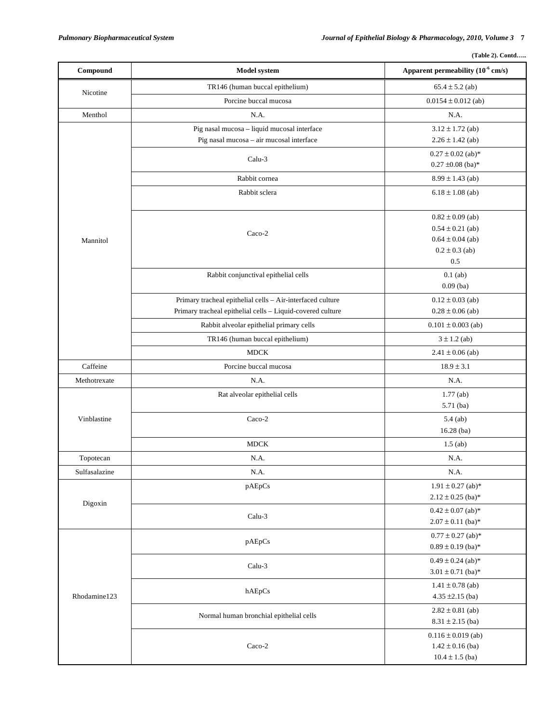| $(Table 2)$ . Contd |  |
|---------------------|--|
|                     |  |

| TR146 (human buccal epithelium)<br>$65.4 \pm 5.2$ (ab)<br>Nicotine<br>Porcine buccal mucosa<br>$0.0154 \pm 0.012$ (ab)<br>Menthol<br>N.A.<br>N.A.<br>Pig nasal mucosa - liquid mucosal interface<br>$3.12 \pm 1.72$ (ab)<br>Pig nasal mucosa - air mucosal interface<br>$2.26 \pm 1.42$ (ab)<br>$0.27 \pm 0.02$ (ab)*<br>Calu-3<br>$0.27 \pm 0.08$ (ba)*<br>Rabbit cornea<br>$8.99 \pm 1.43$ (ab)<br>Rabbit sclera<br>$6.18 \pm 1.08$ (ab)<br>$0.82 \pm 0.09$ (ab)<br>$0.54 \pm 0.21$ (ab)<br>Caco-2<br>$0.64 \pm 0.04$ (ab)<br>Mannitol<br>$0.2 \pm 0.3$ (ab)<br>0.5<br>Rabbit conjunctival epithelial cells<br>$0.1$ (ab)<br>$0.09$ (ba)<br>Primary tracheal epithelial cells - Air-interfaced culture<br>$0.12 \pm 0.03$ (ab)<br>Primary tracheal epithelial cells - Liquid-covered culture<br>$0.28 \pm 0.06$ (ab)<br>Rabbit alveolar epithelial primary cells<br>$0.101 \pm 0.003$ (ab)<br>TR146 (human buccal epithelium)<br>$3 \pm 1.2$ (ab)<br><b>MDCK</b><br>$2.41 \pm 0.06$ (ab)<br>Caffeine<br>Porcine buccal mucosa<br>$18.9 \pm 3.1$<br>N.A.<br>Methotrexate<br>N.A.<br>$1.77$ (ab)<br>Rat alveolar epithelial cells<br>5.71 (ba)<br>$Caco-2$<br>Vinblastine<br>$5.4$ (ab)<br>16.28 (ba)<br><b>MDCK</b><br>$1.5$ (ab)<br>N.A.<br>N.A.<br>Topotecan<br>N.A.<br>Sulfasalazine<br>N.A.<br>$1.91 \pm 0.27$ (ab)*<br>pAEpCs<br>$2.12 \pm 0.25$ (ba)*<br>Digoxin<br>$0.42 \pm 0.07$ (ab)*<br>Calu-3<br>$2.07 \pm 0.11$ (ba)*<br>$0.77 \pm 0.27$ (ab)*<br>pAEpCs<br>$0.89 \pm 0.19$ (ba)*<br>$0.49 \pm 0.24$ (ab)*<br>Calu-3<br>$3.01 \pm 0.71$ (ba)*<br>$1.41 \pm 0.78$ (ab)<br>hAEpCs<br>Rhodamine123<br>$4.35 \pm 2.15$ (ba)<br>$2.82 \pm 0.81$ (ab)<br>Normal human bronchial epithelial cells<br>$8.31 \pm 2.15$ (ba)<br>$0.116 \pm 0.019$ (ab)<br>$Caco-2$<br>$1.42 \pm 0.16$ (ba) | Compound | <b>Model system</b> | Apparent permeability (10 <sup>-6</sup> cm/s) |
|------------------------------------------------------------------------------------------------------------------------------------------------------------------------------------------------------------------------------------------------------------------------------------------------------------------------------------------------------------------------------------------------------------------------------------------------------------------------------------------------------------------------------------------------------------------------------------------------------------------------------------------------------------------------------------------------------------------------------------------------------------------------------------------------------------------------------------------------------------------------------------------------------------------------------------------------------------------------------------------------------------------------------------------------------------------------------------------------------------------------------------------------------------------------------------------------------------------------------------------------------------------------------------------------------------------------------------------------------------------------------------------------------------------------------------------------------------------------------------------------------------------------------------------------------------------------------------------------------------------------------------------------------------------------------------------------------------------------------------------------------------------------------------------------|----------|---------------------|-----------------------------------------------|
|                                                                                                                                                                                                                                                                                                                                                                                                                                                                                                                                                                                                                                                                                                                                                                                                                                                                                                                                                                                                                                                                                                                                                                                                                                                                                                                                                                                                                                                                                                                                                                                                                                                                                                                                                                                                |          |                     |                                               |
|                                                                                                                                                                                                                                                                                                                                                                                                                                                                                                                                                                                                                                                                                                                                                                                                                                                                                                                                                                                                                                                                                                                                                                                                                                                                                                                                                                                                                                                                                                                                                                                                                                                                                                                                                                                                |          |                     |                                               |
|                                                                                                                                                                                                                                                                                                                                                                                                                                                                                                                                                                                                                                                                                                                                                                                                                                                                                                                                                                                                                                                                                                                                                                                                                                                                                                                                                                                                                                                                                                                                                                                                                                                                                                                                                                                                |          |                     |                                               |
|                                                                                                                                                                                                                                                                                                                                                                                                                                                                                                                                                                                                                                                                                                                                                                                                                                                                                                                                                                                                                                                                                                                                                                                                                                                                                                                                                                                                                                                                                                                                                                                                                                                                                                                                                                                                |          |                     |                                               |
|                                                                                                                                                                                                                                                                                                                                                                                                                                                                                                                                                                                                                                                                                                                                                                                                                                                                                                                                                                                                                                                                                                                                                                                                                                                                                                                                                                                                                                                                                                                                                                                                                                                                                                                                                                                                |          |                     |                                               |
|                                                                                                                                                                                                                                                                                                                                                                                                                                                                                                                                                                                                                                                                                                                                                                                                                                                                                                                                                                                                                                                                                                                                                                                                                                                                                                                                                                                                                                                                                                                                                                                                                                                                                                                                                                                                |          |                     |                                               |
|                                                                                                                                                                                                                                                                                                                                                                                                                                                                                                                                                                                                                                                                                                                                                                                                                                                                                                                                                                                                                                                                                                                                                                                                                                                                                                                                                                                                                                                                                                                                                                                                                                                                                                                                                                                                |          |                     |                                               |
|                                                                                                                                                                                                                                                                                                                                                                                                                                                                                                                                                                                                                                                                                                                                                                                                                                                                                                                                                                                                                                                                                                                                                                                                                                                                                                                                                                                                                                                                                                                                                                                                                                                                                                                                                                                                |          |                     |                                               |
|                                                                                                                                                                                                                                                                                                                                                                                                                                                                                                                                                                                                                                                                                                                                                                                                                                                                                                                                                                                                                                                                                                                                                                                                                                                                                                                                                                                                                                                                                                                                                                                                                                                                                                                                                                                                |          |                     |                                               |
|                                                                                                                                                                                                                                                                                                                                                                                                                                                                                                                                                                                                                                                                                                                                                                                                                                                                                                                                                                                                                                                                                                                                                                                                                                                                                                                                                                                                                                                                                                                                                                                                                                                                                                                                                                                                |          |                     |                                               |
|                                                                                                                                                                                                                                                                                                                                                                                                                                                                                                                                                                                                                                                                                                                                                                                                                                                                                                                                                                                                                                                                                                                                                                                                                                                                                                                                                                                                                                                                                                                                                                                                                                                                                                                                                                                                |          |                     |                                               |
|                                                                                                                                                                                                                                                                                                                                                                                                                                                                                                                                                                                                                                                                                                                                                                                                                                                                                                                                                                                                                                                                                                                                                                                                                                                                                                                                                                                                                                                                                                                                                                                                                                                                                                                                                                                                |          |                     |                                               |
|                                                                                                                                                                                                                                                                                                                                                                                                                                                                                                                                                                                                                                                                                                                                                                                                                                                                                                                                                                                                                                                                                                                                                                                                                                                                                                                                                                                                                                                                                                                                                                                                                                                                                                                                                                                                |          |                     |                                               |
|                                                                                                                                                                                                                                                                                                                                                                                                                                                                                                                                                                                                                                                                                                                                                                                                                                                                                                                                                                                                                                                                                                                                                                                                                                                                                                                                                                                                                                                                                                                                                                                                                                                                                                                                                                                                |          |                     |                                               |
|                                                                                                                                                                                                                                                                                                                                                                                                                                                                                                                                                                                                                                                                                                                                                                                                                                                                                                                                                                                                                                                                                                                                                                                                                                                                                                                                                                                                                                                                                                                                                                                                                                                                                                                                                                                                |          |                     |                                               |
|                                                                                                                                                                                                                                                                                                                                                                                                                                                                                                                                                                                                                                                                                                                                                                                                                                                                                                                                                                                                                                                                                                                                                                                                                                                                                                                                                                                                                                                                                                                                                                                                                                                                                                                                                                                                |          |                     |                                               |
|                                                                                                                                                                                                                                                                                                                                                                                                                                                                                                                                                                                                                                                                                                                                                                                                                                                                                                                                                                                                                                                                                                                                                                                                                                                                                                                                                                                                                                                                                                                                                                                                                                                                                                                                                                                                |          |                     |                                               |
|                                                                                                                                                                                                                                                                                                                                                                                                                                                                                                                                                                                                                                                                                                                                                                                                                                                                                                                                                                                                                                                                                                                                                                                                                                                                                                                                                                                                                                                                                                                                                                                                                                                                                                                                                                                                |          |                     |                                               |
|                                                                                                                                                                                                                                                                                                                                                                                                                                                                                                                                                                                                                                                                                                                                                                                                                                                                                                                                                                                                                                                                                                                                                                                                                                                                                                                                                                                                                                                                                                                                                                                                                                                                                                                                                                                                |          |                     |                                               |
|                                                                                                                                                                                                                                                                                                                                                                                                                                                                                                                                                                                                                                                                                                                                                                                                                                                                                                                                                                                                                                                                                                                                                                                                                                                                                                                                                                                                                                                                                                                                                                                                                                                                                                                                                                                                |          |                     |                                               |
|                                                                                                                                                                                                                                                                                                                                                                                                                                                                                                                                                                                                                                                                                                                                                                                                                                                                                                                                                                                                                                                                                                                                                                                                                                                                                                                                                                                                                                                                                                                                                                                                                                                                                                                                                                                                |          |                     |                                               |
|                                                                                                                                                                                                                                                                                                                                                                                                                                                                                                                                                                                                                                                                                                                                                                                                                                                                                                                                                                                                                                                                                                                                                                                                                                                                                                                                                                                                                                                                                                                                                                                                                                                                                                                                                                                                |          |                     |                                               |
|                                                                                                                                                                                                                                                                                                                                                                                                                                                                                                                                                                                                                                                                                                                                                                                                                                                                                                                                                                                                                                                                                                                                                                                                                                                                                                                                                                                                                                                                                                                                                                                                                                                                                                                                                                                                |          |                     |                                               |
|                                                                                                                                                                                                                                                                                                                                                                                                                                                                                                                                                                                                                                                                                                                                                                                                                                                                                                                                                                                                                                                                                                                                                                                                                                                                                                                                                                                                                                                                                                                                                                                                                                                                                                                                                                                                |          |                     |                                               |
|                                                                                                                                                                                                                                                                                                                                                                                                                                                                                                                                                                                                                                                                                                                                                                                                                                                                                                                                                                                                                                                                                                                                                                                                                                                                                                                                                                                                                                                                                                                                                                                                                                                                                                                                                                                                |          |                     |                                               |
|                                                                                                                                                                                                                                                                                                                                                                                                                                                                                                                                                                                                                                                                                                                                                                                                                                                                                                                                                                                                                                                                                                                                                                                                                                                                                                                                                                                                                                                                                                                                                                                                                                                                                                                                                                                                |          |                     |                                               |
|                                                                                                                                                                                                                                                                                                                                                                                                                                                                                                                                                                                                                                                                                                                                                                                                                                                                                                                                                                                                                                                                                                                                                                                                                                                                                                                                                                                                                                                                                                                                                                                                                                                                                                                                                                                                |          |                     |                                               |
|                                                                                                                                                                                                                                                                                                                                                                                                                                                                                                                                                                                                                                                                                                                                                                                                                                                                                                                                                                                                                                                                                                                                                                                                                                                                                                                                                                                                                                                                                                                                                                                                                                                                                                                                                                                                |          |                     |                                               |
|                                                                                                                                                                                                                                                                                                                                                                                                                                                                                                                                                                                                                                                                                                                                                                                                                                                                                                                                                                                                                                                                                                                                                                                                                                                                                                                                                                                                                                                                                                                                                                                                                                                                                                                                                                                                |          |                     |                                               |
|                                                                                                                                                                                                                                                                                                                                                                                                                                                                                                                                                                                                                                                                                                                                                                                                                                                                                                                                                                                                                                                                                                                                                                                                                                                                                                                                                                                                                                                                                                                                                                                                                                                                                                                                                                                                |          |                     |                                               |
|                                                                                                                                                                                                                                                                                                                                                                                                                                                                                                                                                                                                                                                                                                                                                                                                                                                                                                                                                                                                                                                                                                                                                                                                                                                                                                                                                                                                                                                                                                                                                                                                                                                                                                                                                                                                |          |                     |                                               |
|                                                                                                                                                                                                                                                                                                                                                                                                                                                                                                                                                                                                                                                                                                                                                                                                                                                                                                                                                                                                                                                                                                                                                                                                                                                                                                                                                                                                                                                                                                                                                                                                                                                                                                                                                                                                |          |                     |                                               |
|                                                                                                                                                                                                                                                                                                                                                                                                                                                                                                                                                                                                                                                                                                                                                                                                                                                                                                                                                                                                                                                                                                                                                                                                                                                                                                                                                                                                                                                                                                                                                                                                                                                                                                                                                                                                |          |                     |                                               |
|                                                                                                                                                                                                                                                                                                                                                                                                                                                                                                                                                                                                                                                                                                                                                                                                                                                                                                                                                                                                                                                                                                                                                                                                                                                                                                                                                                                                                                                                                                                                                                                                                                                                                                                                                                                                |          |                     |                                               |
|                                                                                                                                                                                                                                                                                                                                                                                                                                                                                                                                                                                                                                                                                                                                                                                                                                                                                                                                                                                                                                                                                                                                                                                                                                                                                                                                                                                                                                                                                                                                                                                                                                                                                                                                                                                                |          |                     |                                               |
|                                                                                                                                                                                                                                                                                                                                                                                                                                                                                                                                                                                                                                                                                                                                                                                                                                                                                                                                                                                                                                                                                                                                                                                                                                                                                                                                                                                                                                                                                                                                                                                                                                                                                                                                                                                                |          |                     |                                               |
|                                                                                                                                                                                                                                                                                                                                                                                                                                                                                                                                                                                                                                                                                                                                                                                                                                                                                                                                                                                                                                                                                                                                                                                                                                                                                                                                                                                                                                                                                                                                                                                                                                                                                                                                                                                                |          |                     |                                               |
|                                                                                                                                                                                                                                                                                                                                                                                                                                                                                                                                                                                                                                                                                                                                                                                                                                                                                                                                                                                                                                                                                                                                                                                                                                                                                                                                                                                                                                                                                                                                                                                                                                                                                                                                                                                                |          |                     |                                               |
|                                                                                                                                                                                                                                                                                                                                                                                                                                                                                                                                                                                                                                                                                                                                                                                                                                                                                                                                                                                                                                                                                                                                                                                                                                                                                                                                                                                                                                                                                                                                                                                                                                                                                                                                                                                                |          |                     |                                               |
|                                                                                                                                                                                                                                                                                                                                                                                                                                                                                                                                                                                                                                                                                                                                                                                                                                                                                                                                                                                                                                                                                                                                                                                                                                                                                                                                                                                                                                                                                                                                                                                                                                                                                                                                                                                                |          |                     |                                               |
|                                                                                                                                                                                                                                                                                                                                                                                                                                                                                                                                                                                                                                                                                                                                                                                                                                                                                                                                                                                                                                                                                                                                                                                                                                                                                                                                                                                                                                                                                                                                                                                                                                                                                                                                                                                                |          |                     |                                               |
| $10.4 \pm 1.5$ (ba)                                                                                                                                                                                                                                                                                                                                                                                                                                                                                                                                                                                                                                                                                                                                                                                                                                                                                                                                                                                                                                                                                                                                                                                                                                                                                                                                                                                                                                                                                                                                                                                                                                                                                                                                                                            |          |                     |                                               |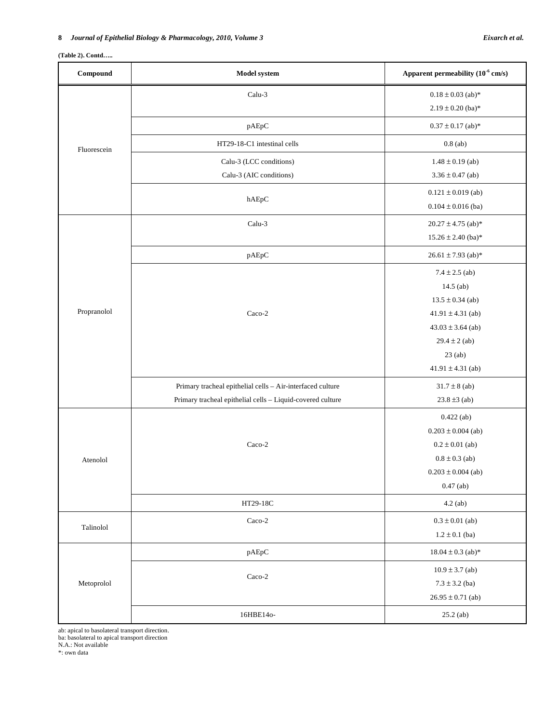# **(Table 2). Contd…..**

| Compound    | Model system                                               | Apparent permeability $(10^{-6}$ cm/s) |
|-------------|------------------------------------------------------------|----------------------------------------|
|             | Calu-3                                                     | $0.18 \pm 0.03$ (ab)*                  |
|             |                                                            | $2.19 \pm 0.20$ (ba)*                  |
|             | pAEpC                                                      | $0.37 \pm 0.17$ (ab)*                  |
| Fluorescein | HT29-18-C1 intestinal cells                                | $0.8$ (ab)                             |
|             | Calu-3 (LCC conditions)                                    | $1.48 \pm 0.19$ (ab)                   |
|             | Calu-3 (AIC conditions)                                    | $3.36 \pm 0.47$ (ab)                   |
|             |                                                            | $0.121 \pm 0.019$ (ab)                 |
|             | hAEpC                                                      | $0.104 \pm 0.016$ (ba)                 |
|             | Calu-3                                                     | $20.27 \pm 4.75$ (ab)*                 |
|             |                                                            | $15.26 \pm 2.40$ (ba)*                 |
|             | pAEpC                                                      | $26.61 \pm 7.93$ (ab)*                 |
|             |                                                            | $7.4 \pm 2.5$ (ab)                     |
|             |                                                            | $14.5$ (ab)                            |
|             |                                                            | $13.5 \pm 0.34$ (ab)                   |
| Propranolol | Caco-2                                                     | $41.91 \pm 4.31$ (ab)                  |
|             |                                                            | $43.03 \pm 3.64$ (ab)                  |
|             |                                                            | $29.4 \pm 2$ (ab)                      |
|             |                                                            | $23$ (ab)                              |
|             |                                                            | $41.91 \pm 4.31$ (ab)                  |
|             | Primary tracheal epithelial cells - Air-interfaced culture | $31.7 \pm 8$ (ab)                      |
|             | Primary tracheal epithelial cells - Liquid-covered culture | $23.8 \pm 3$ (ab)                      |
|             |                                                            | $0.422$ (ab)                           |
|             |                                                            | $0.203 \pm 0.004$ (ab)                 |
|             | Caco-2                                                     | $0.2 \pm 0.01$ (ab)                    |
| Atenolol    |                                                            | $0.8 \pm 0.3$ (ab)                     |
|             |                                                            | $0.203 \pm 0.004$ (ab)                 |
|             |                                                            | $0.47$ (ab)                            |
|             | HT29-18C                                                   | $4.2$ (ab)                             |
| Talinolol   | $Caco-2$                                                   | $0.3 \pm 0.01$ (ab)                    |
|             |                                                            | $1.2 \pm 0.1$ (ba)                     |
|             | pAEpC                                                      | $18.04 \pm 0.3$ (ab)*                  |
|             |                                                            | $10.9 \pm 3.7$ (ab)                    |
| Metoprolol  | $Caco-2$                                                   | $7.3 \pm 3.2$ (ba)                     |
|             |                                                            | $26.95 \pm 0.71$ (ab)                  |
|             | 16HBE14o-                                                  | $25.2$ (ab)                            |

ab: apical to basolateral transport direction. ba: basolateral to apical transport direction N.A.: Not available

 $\stackrel{*}{\text{:}}$ own data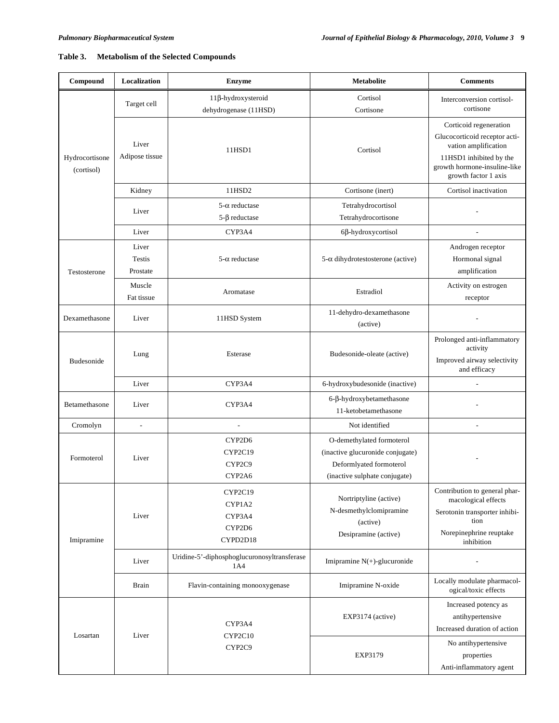# **Table 3. Metabolism of the Selected Compounds**

| Compound                     | Localization                       | Metabolite<br><b>Enzyme</b>                          |                                                                                                                           | <b>Comments</b>                                                                                                                                                    |
|------------------------------|------------------------------------|------------------------------------------------------|---------------------------------------------------------------------------------------------------------------------------|--------------------------------------------------------------------------------------------------------------------------------------------------------------------|
|                              | Target cell                        | 11β-hydroxysteroid<br>dehydrogenase (11HSD)          | Cortisol<br>Cortisone                                                                                                     | Interconversion cortisol-<br>cortisone                                                                                                                             |
| Hydrocortisone<br>(cortisol) | Liver<br>Adipose tissue            | 11HSD1                                               | Cortisol                                                                                                                  | Corticoid regeneration<br>Glucocorticoid receptor acti-<br>vation amplification<br>11HSD1 inhibited by the<br>growth hormone-insuline-like<br>growth factor 1 axis |
|                              | Kidney                             | 11HSD2                                               | Cortisone (inert)                                                                                                         | Cortisol inactivation                                                                                                                                              |
|                              | Liver                              | $5-\alpha$ reductase<br>$5-\beta$ reductase          | Tetrahydrocortisol<br>Tetrahydrocortisone                                                                                 |                                                                                                                                                                    |
|                              | Liver                              | CYP3A4                                               | $6\beta$ -hydroxycortisol                                                                                                 |                                                                                                                                                                    |
| Testosterone                 | Liver<br><b>Testis</b><br>Prostate | $5-\alpha$ reductase                                 | $5-\alpha$ dihydrotestosterone (active)                                                                                   | Androgen receptor<br>Hormonal signal<br>amplification                                                                                                              |
|                              | Muscle<br>Fat tissue               | Aromatase                                            | Estradiol                                                                                                                 | Activity on estrogen<br>receptor                                                                                                                                   |
| Dexamethasone                | Liver                              | 11-dehydro-dexamethasone<br>11HSD System<br>(active) |                                                                                                                           |                                                                                                                                                                    |
| <b>Budesonide</b>            | Lung                               | Esterase                                             | Budesonide-oleate (active)                                                                                                | Prolonged anti-inflammatory<br>activity<br>Improved airway selectivity<br>and efficacy                                                                             |
|                              | Liver                              | CYP3A4                                               | 6-hydroxybudesonide (inactive)                                                                                            |                                                                                                                                                                    |
| Betamethasone                | Liver                              | CYP3A4                                               | 6-β-hydroxybetamethasone<br>11-ketobetamethasone                                                                          |                                                                                                                                                                    |
| Cromolyn                     | $\overline{a}$                     | Not identified                                       |                                                                                                                           | $\overline{\phantom{0}}$                                                                                                                                           |
| Formoterol                   | Liver                              | CYP2D6<br>CYP2C19<br>CYP2C9<br>CYP2A6                | O-demethylated formoterol<br>(inactive glucuronide conjugate)<br>Deformlyated formoterol<br>(inactive sulphate conjugate) |                                                                                                                                                                    |
| Imipramine                   | Liver                              | CYP2C19<br>CYP1A2<br>CYP3A4<br>CYP2D6<br>CYPD2D18    | Nortriptyline (active)<br>N-desmethylclomipramine<br>(active)<br>Desipramine (active)                                     | Contribution to general phar-<br>macological effects<br>Serotonin transporter inhibi-<br>tion<br>Norepinephrine reuptake<br>inhibition                             |
|                              | Liver                              | Uridine-5'-diphosphoglucuronosyltransferase<br>1A4   | Imipramine $N(+)$ -glucuronide                                                                                            |                                                                                                                                                                    |
|                              | <b>Brain</b>                       | Flavin-containing monooxygenase                      | Imipramine N-oxide                                                                                                        | Locally modulate pharmacol-<br>ogical/toxic effects                                                                                                                |
| Losartan                     | Liver                              | CYP3A4<br>CYP2C10                                    | EXP3174 (active)                                                                                                          | Increased potency as<br>antihypertensive<br>Increased duration of action                                                                                           |
|                              |                                    | CYP2C9                                               | <b>EXP3179</b>                                                                                                            | No antihypertensive<br>properties<br>Anti-inflammatory agent                                                                                                       |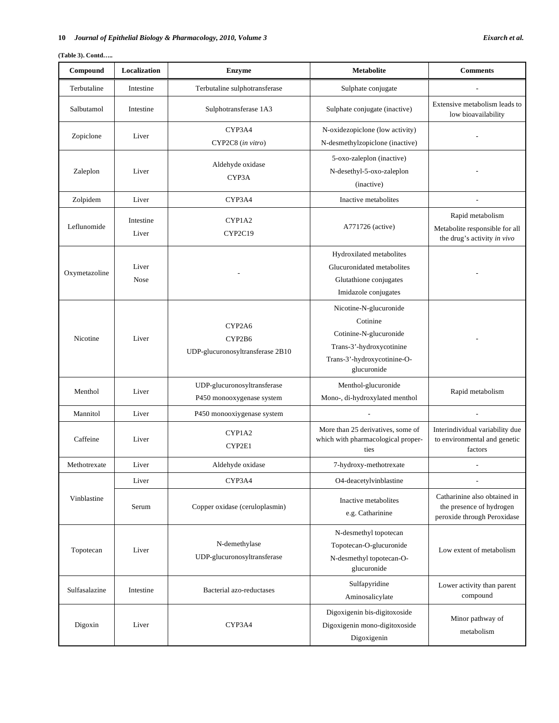# **10** *Journal of Epithelial Biology & Pharmacology, 2010, Volume 3 Eixarch et al.*

# **(Table 3). Contd…..**

| Compound      | Localization                                                      | <b>Enzyme</b>                    | <b>Metabolite</b>                                                       | <b>Comments</b>                                                 |
|---------------|-------------------------------------------------------------------|----------------------------------|-------------------------------------------------------------------------|-----------------------------------------------------------------|
| Terbutaline   | Intestine                                                         | Terbutaline sulphotransferase    | Sulphate conjugate                                                      |                                                                 |
| Salbutamol    | Intestine                                                         | Sulphotransferase 1A3            | Sulphate conjugate (inactive)                                           | Extensive metabolism leads to<br>low bioavailability            |
| Zopiclone     | Liver                                                             | CYP3A4                           | N-oxidezopiclone (low activity)                                         |                                                                 |
|               |                                                                   | CYP2C8 (in vitro)                | N-desmethylzopiclone (inactive)                                         |                                                                 |
|               |                                                                   | Aldehyde oxidase                 | 5-oxo-zaleplon (inactive)                                               |                                                                 |
| Zaleplon      | Liver                                                             | CYP3A                            | N-desethyl-5-oxo-zaleplon                                               |                                                                 |
|               |                                                                   |                                  | (inactive)                                                              |                                                                 |
| Zolpidem      | Liver                                                             | CYP3A4                           | Inactive metabolites                                                    |                                                                 |
| Leflunomide   | Intestine                                                         | CYP1A2                           |                                                                         | Rapid metabolism                                                |
|               | Liver                                                             | CYP2C19                          | A771726 (active)                                                        | Metabolite responsible for all<br>the drug's activity in vivo   |
|               |                                                                   |                                  | Hydroxilated metabolites                                                |                                                                 |
|               | Liver                                                             |                                  | Glucuronidated metabolites                                              |                                                                 |
| Oxymetazoline | <b>Nose</b>                                                       |                                  | Glutathione conjugates                                                  |                                                                 |
|               |                                                                   |                                  | Imidazole conjugates                                                    |                                                                 |
|               |                                                                   |                                  | Nicotine-N-glucuronide                                                  |                                                                 |
|               |                                                                   | CYP2A6                           | Cotinine                                                                |                                                                 |
| Nicotine      | Liver                                                             | CYP2B6                           | Cotinine-N-glucuronide                                                  |                                                                 |
|               |                                                                   | UDP-glucuronosyltransferase 2B10 | Trans-3'-hydroxycotinine                                                |                                                                 |
|               |                                                                   |                                  | Trans-3'-hydroxycotinine-O-<br>glucuronide                              |                                                                 |
|               |                                                                   |                                  |                                                                         |                                                                 |
| Menthol       | UDP-glucuronosyltransferase<br>Liver<br>P450 monooxygenase system |                                  | Menthol-glucuronide<br>Mono-, di-hydroxylated menthol                   | Rapid metabolism                                                |
| Mannitol      | Liver                                                             | P450 monooxiygenase system       |                                                                         |                                                                 |
|               |                                                                   |                                  |                                                                         |                                                                 |
| Caffeine      | Liver                                                             | CYP1A2                           | More than 25 derivatives, some of<br>which with pharmacological proper- | Interindividual variability due<br>to environmental and genetic |
|               |                                                                   | CYP2E1                           | ties                                                                    | factors                                                         |
| Methotrexate  | Liver                                                             | Aldehyde oxidase                 | 7-hydroxy-methotrexate                                                  | $\overline{\phantom{a}}$                                        |
|               | Liver                                                             | CYP3A4                           | O4-deacetylvinblastine                                                  |                                                                 |
| Vinblastine   |                                                                   |                                  | Inactive metabolites                                                    | Catharinine also obtained in                                    |
|               | Serum                                                             | Copper oxidase (ceruloplasmin)   | e.g. Catharinine                                                        | the presence of hydrogen<br>peroxide through Peroxidase         |
|               |                                                                   |                                  |                                                                         |                                                                 |
|               |                                                                   | N-demethylase                    | N-desmethyl topotecan                                                   |                                                                 |
| Topotecan     | Liver                                                             | UDP-glucuronosyltransferase      | Topotecan-O-glucuronide<br>N-desmethyl topotecan-O-                     | Low extent of metabolism                                        |
|               |                                                                   |                                  | glucuronide                                                             |                                                                 |
|               |                                                                   |                                  | Sulfapyridine                                                           | Lower activity than parent                                      |
| Sulfasalazine | Intestine                                                         | Bacterial azo-reductases         | Aminosalicylate                                                         | compound                                                        |
|               |                                                                   |                                  | Digoxigenin bis-digitoxoside                                            |                                                                 |
| Digoxin       | Liver                                                             | CYP3A4                           | Digoxigenin mono-digitoxoside                                           | Minor pathway of<br>metabolism                                  |
|               |                                                                   |                                  | Digoxigenin                                                             |                                                                 |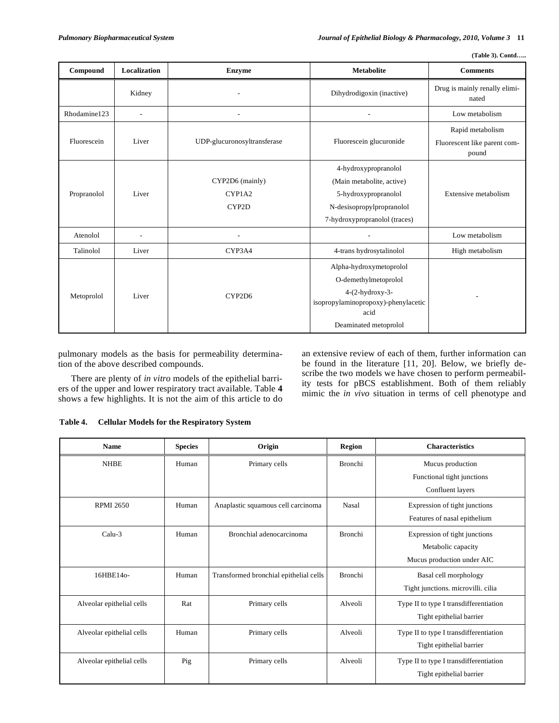| (Table 3). Contd |
|------------------|

| Compound     | Localization             | <b>Enzyme</b>                                          | <b>Metabolite</b>                               | <b>Comments</b>                                           |
|--------------|--------------------------|--------------------------------------------------------|-------------------------------------------------|-----------------------------------------------------------|
|              | Kidney                   |                                                        | Dihydrodigoxin (inactive)                       | Drug is mainly renally elimi-<br>nated                    |
| Rhodamine123 | $\blacksquare$           |                                                        |                                                 | Low metabolism                                            |
| Fluorescein  | Liver                    | UDP-glucuronosyltransferase<br>Fluorescein glucuronide |                                                 | Rapid metabolism<br>Fluorescent like parent com-<br>pound |
|              |                          |                                                        | 4-hydroxypropranolol                            |                                                           |
|              |                          | CYP2D6 (mainly)                                        | (Main metabolite, active)                       |                                                           |
| Propranolol  | Liver                    | CYP1A2                                                 | 5-hydroxypropranolol                            | Extensive metabolism                                      |
|              |                          | CYP2D                                                  | N-desisopropylpropranolol                       |                                                           |
|              |                          |                                                        | 7-hydroxypropranolol (traces)                   |                                                           |
| Atenolol     | $\overline{\phantom{a}}$ |                                                        |                                                 | Low metabolism                                            |
| Talinolol    | Liver                    | CYP3A4                                                 | 4-trans hydrosytalinolol                        | High metabolism                                           |
|              |                          |                                                        | Alpha-hydroxymetoprolol<br>O-demethylmetoprolol |                                                           |
| Metoprolol   | Liver                    | CYP2D6                                                 | $4-(2-hydroxy-3-$                               |                                                           |
|              |                          |                                                        | isopropylaminopropoxy)-phenylacetic<br>acid     |                                                           |
|              |                          |                                                        | Deaminated metoprolol                           |                                                           |

pulmonary models as the basis for permeability determination of the above described compounds.

 There are plenty of *in vitro* models of the epithelial barriers of the upper and lower respiratory tract available. Table **4** shows a few highlights. It is not the aim of this article to do

an extensive review of each of them, further information can be found in the literature [11, 20]. Below, we briefly describe the two models we have chosen to perform permeability tests for pBCS establishment. Both of them reliably mimic the *in vivo* situation in terms of cell phenotype and

| Table 4. |  |  |  | <b>Cellular Models for the Respiratory System</b> |  |
|----------|--|--|--|---------------------------------------------------|--|
|----------|--|--|--|---------------------------------------------------|--|

| <b>Name</b>               | <b>Species</b> | Origin                                 | Region         | <b>Characteristics</b>                                                            |
|---------------------------|----------------|----------------------------------------|----------------|-----------------------------------------------------------------------------------|
| <b>NHBE</b>               | Human          | Primary cells                          | <b>Bronchi</b> | Mucus production<br>Functional tight junctions<br>Confluent layers                |
| <b>RPMI 2650</b>          | Human          | Anaplastic squamous cell carcinoma     | Nasal          | Expression of tight junctions<br>Features of nasal epithelium                     |
| Calu-3                    | Human          | Bronchial adenocarcinoma               | <b>Bronchi</b> | Expression of tight junctions<br>Metabolic capacity<br>Mucus production under AIC |
| 16HBE140-                 | Human          | Transformed bronchial epithelial cells | <b>Bronchi</b> | Basal cell morphology<br>Tight junctions. microvilli. cilia                       |
| Alveolar epithelial cells | Rat            | Primary cells                          | Alveoli        | Type II to type I transdifferentiation<br>Tight epithelial barrier                |
| Alveolar epithelial cells | Human          | Primary cells                          | Alveoli        | Type II to type I transdifferentiation<br>Tight epithelial barrier                |
| Alveolar epithelial cells | Pig            | Primary cells                          | Alveoli        | Type II to type I transdifferentiation<br>Tight epithelial barrier                |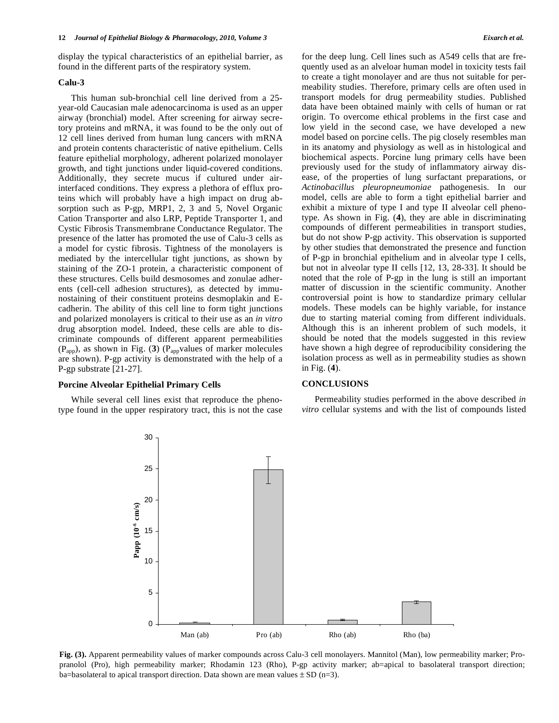display the typical characteristics of an epithelial barrier, as found in the different parts of the respiratory system.

# **Calu-3**

 This human sub-bronchial cell line derived from a 25 year-old Caucasian male adenocarcinoma is used as an upper airway (bronchial) model. After screening for airway secretory proteins and mRNA, it was found to be the only out of 12 cell lines derived from human lung cancers with mRNA and protein contents characteristic of native epithelium. Cells feature epithelial morphology, adherent polarized monolayer growth, and tight junctions under liquid-covered conditions. Additionally, they secrete mucus if cultured under airinterfaced conditions. They express a plethora of efflux proteins which will probably have a high impact on drug absorption such as P-gp, MRP1, 2, 3 and 5, Novel Organic Cation Transporter and also LRP, Peptide Transporter 1, and Cystic Fibrosis Transmembrane Conductance Regulator. The presence of the latter has promoted the use of Calu-3 cells as a model for cystic fibrosis. Tightness of the monolayers is mediated by the intercellular tight junctions, as shown by staining of the ZO-1 protein, a characteristic component of these structures. Cells build desmosomes and zonulae adherents (cell-cell adhesion structures), as detected by immunostaining of their constituent proteins desmoplakin and Ecadherin. The ability of this cell line to form tight junctions and polarized monolayers is critical to their use as an *in vitro* drug absorption model. Indeed, these cells are able to discriminate compounds of different apparent permeabilities (Papp), as shown in Fig. (**3**) (Pappvalues of marker molecules are shown). P-gp activity is demonstrated with the help of a P-gp substrate [21-27].

#### **Porcine Alveolar Epithelial Primary Cells**

 While several cell lines exist that reproduce the phenotype found in the upper respiratory tract, this is not the case for the deep lung. Cell lines such as A549 cells that are frequently used as an alveloar human model in toxicity tests fail to create a tight monolayer and are thus not suitable for permeability studies. Therefore, primary cells are often used in transport models for drug permeability studies. Published data have been obtained mainly with cells of human or rat origin. To overcome ethical problems in the first case and low yield in the second case, we have developed a new model based on porcine cells. The pig closely resembles man in its anatomy and physiology as well as in histological and biochemical aspects. Porcine lung primary cells have been previously used for the study of inflammatory airway disease, of the properties of lung surfactant preparations, or *Actinobacillus pleuropneumoniae* pathogenesis. In our model, cells are able to form a tight epithelial barrier and exhibit a mixture of type I and type II alveolar cell phenotype. As shown in Fig. (**4**), they are able in discriminating compounds of different permeabilities in transport studies, but do not show P-gp activity. This observation is supported by other studies that demonstrated the presence and function of P-gp in bronchial epithelium and in alveolar type I cells, but not in alveolar type II cells [12, 13, 28-33]. It should be noted that the role of P-gp in the lung is still an important matter of discussion in the scientific community. Another controversial point is how to standardize primary cellular models. These models can be highly variable, for instance due to starting material coming from different individuals. Although this is an inherent problem of such models, it should be noted that the models suggested in this review have shown a high degree of reproducibility considering the isolation process as well as in permeability studies as shown in Fig. (**4**).

# **CONCLUSIONS**

 Permeability studies performed in the above described *in vitro* cellular systems and with the list of compounds listed



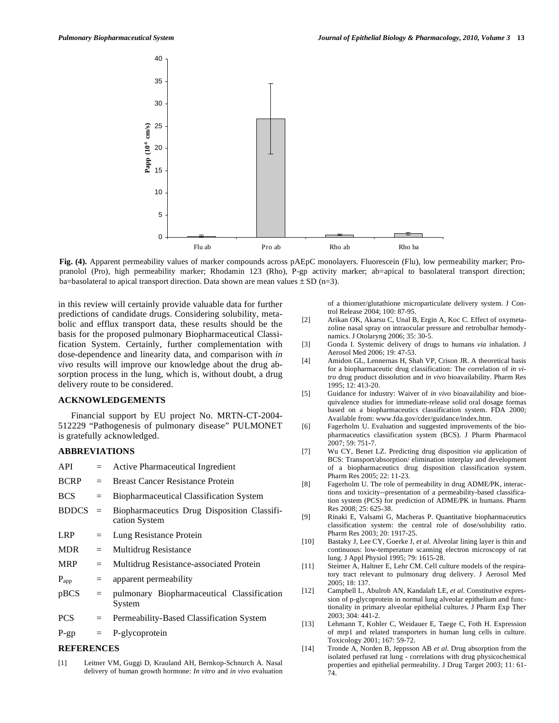

**Fig. (4).** Apparent permeability values of marker compounds across pAEpC monolayers. Fluorescein (Flu), low permeability marker; Propranolol (Pro), high permeability marker; Rhodamin 123 (Rho), P-gp activity marker; ab=apical to basolateral transport direction; ba=basolateral to apical transport direction. Data shown are mean values  $\pm$  SD (n=3).

in this review will certainly provide valuable data for further predictions of candidate drugs. Considering solubility, metabolic and efflux transport data, these results should be the basis for the proposed pulmonary Biopharmaceutical Classification System. Certainly, further complementation with dose-dependence and linearity data, and comparison with *in vivo* results will improve our knowledge about the drug absorption process in the lung, which is, without doubt, a drug delivery route to be considered.

# **ACKNOWLEDGEMENTS**

 Financial support by EU project No. MRTN-CT-2004- 512229 "Pathogenesis of pulmonary disease" PULMONET is gratefully acknowledged.

# **ABBREVIATIONS**

| API          | $=$ | Active Pharmaceutical Ingredient                             |
|--------------|-----|--------------------------------------------------------------|
| <b>BCRP</b>  | $=$ | <b>Breast Cancer Resistance Protein</b>                      |
| <b>BCS</b>   | $=$ | <b>Biopharmaceutical Classification System</b>               |
| <b>BDDCS</b> | $=$ | Biopharmaceutics Drug Disposition Classifi-<br>cation System |
| <b>LRP</b>   | $=$ | Lung Resistance Protein                                      |
| <b>MDR</b>   | $=$ | Multidrug Resistance                                         |
| <b>MRP</b>   | $=$ | Multidrug Resistance-associated Protein                      |
| $P_{app}$    | $=$ | apparent permeability                                        |
| pBCS         | $=$ | pulmonary Biopharmaceutical Classification<br>System         |
| <b>PCS</b>   | $=$ | Permeability-Based Classification System                     |
| $P$ -gp      | $=$ | P-glycoprotein                                               |
|              |     |                                                              |

# **REFERENCES**

[1] Leitner VM, Guggi D, Krauland AH, Bernkop-Schnurch A. Nasal delivery of human growth hormone: *In vitro* and *in vivo* evaluation

of a thiomer/glutathione microparticulate delivery system. J Control Release 2004; 100: 87-95.

- [2] Arikan OK, Akarsu C, Unal B, Ergin A, Koc C. Effect of oxymetazoline nasal spray on intraocular pressure and retrobulbar hemodynamics. J Otolaryng 2006; 35: 30-5.
- [3] Gonda I. Systemic delivery of drugs to humans *via* inhalation. J Aerosol Med 2006; 19: 47-53.
- [4] Amidon GL, Lennernas H, Shah VP, Crison JR. A theoretical basis for a biopharmaceutic drug classification: The correlation of *in vitro* drug product dissolution and *in vivo* bioavailability. Pharm Res 1995; 12: 413-20.
- [5] Guidance for industry: Waiver of *in vivo* bioavailability and bioequivalence studies for immediate-release solid oral dosage formas based on a biopharmaceutics classification system. FDA 2000; Available from: www.fda.gov/cder/guidance/index.htm.
- [6] Fagerholm U. Evaluation and suggested improvements of the biopharmaceutics classification system (BCS). J Pharm Pharmacol 2007; 59: 751-7.
- [7] Wu CY, Benet LZ. Predicting drug disposition *via* application of BCS: Transport/absorption/ elimination interplay and development of a biopharmaceutics drug disposition classification system. Pharm Res 2005; 22: 11-23.
- [8] Fagerholm U. The role of permeability in drug ADME/PK, interactions and toxicity--presentation of a permeability-based classification system (PCS) for prediction of ADME/PK in humans. Pharm Res 2008; 25: 625-38.
- [9] Rinaki E, Valsami G, Macheras P. Quantitative biopharmaceutics classification system: the central role of dose/solubility ratio. Pharm Res 2003; 20: 1917-25.
- [10] Bastaky J, Lee CY, Goerke J, *et al*. Alveolar lining layer is thin and continuous: low-temperature scanning electron microscopy of rat lung. J Appl Physiol 1995; 79: 1615-28.
- [11] Steimer A, Haltner E, Lehr CM. Cell culture models of the respiratory tract relevant to pulmonary drug delivery. J Aerosol Med 2005; 18: 137.
- [12] Campbell L, Abulrob AN, Kandalaft LE, *et al*. Constitutive expression of p-glycoprotein in normal lung alveolar epithelium and functionality in primary alveolar epithelial cultures. J Pharm Exp Ther 2003; 304: 441-2.
- [13] Lehmann T, Kohler C, Weidauer E, Taege C, Foth H. Expression of mrp1 and related transporters in human lung cells in culture. Toxicology 2001; 167: 59-72.
- [14] Tronde A, Norden B, Jeppsson AB *et al*. Drug absorption from the isolated perfused rat lung - correlations with drug physicochemical properties and epithelial permeability. J Drug Target 2003; 11: 61- 74.